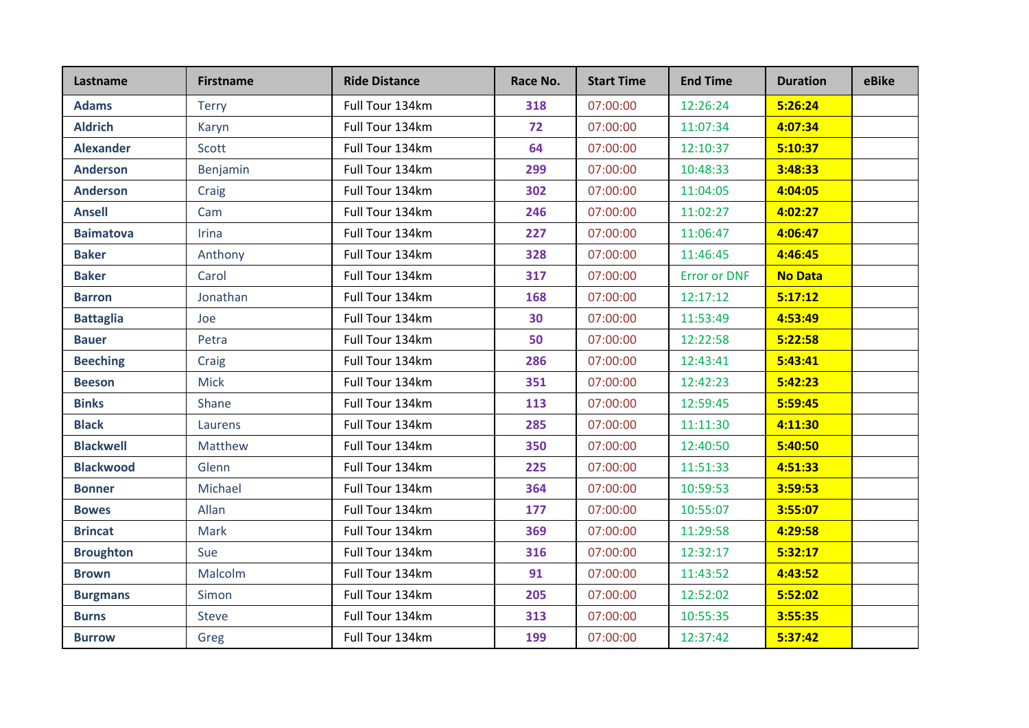| Lastname         | <b>Firstname</b> | <b>Ride Distance</b> | Race No. | <b>Start Time</b> | <b>End Time</b>     | <b>Duration</b> | eBike |
|------------------|------------------|----------------------|----------|-------------------|---------------------|-----------------|-------|
| <b>Adams</b>     | <b>Terry</b>     | Full Tour 134km      | 318      | 07:00:00          | 12:26:24            | 5:26:24         |       |
| <b>Aldrich</b>   | Karyn            | Full Tour 134km      | 72       | 07:00:00          | 11:07:34            | 4:07:34         |       |
| <b>Alexander</b> | Scott            | Full Tour 134km      | 64       | 07:00:00          | 12:10:37            | 5:10:37         |       |
| <b>Anderson</b>  | Benjamin         | Full Tour 134km      | 299      | 07:00:00          | 10:48:33            | 3:48:33         |       |
| <b>Anderson</b>  | Craig            | Full Tour 134km      | 302      | 07:00:00          | 11:04:05            | 4:04:05         |       |
| <b>Ansell</b>    | Cam              | Full Tour 134km      | 246      | 07:00:00          | 11:02:27            | 4:02:27         |       |
| <b>Baimatova</b> | Irina            | Full Tour 134km      | 227      | 07:00:00          | 11:06:47            | 4:06:47         |       |
| <b>Baker</b>     | Anthony          | Full Tour 134km      | 328      | 07:00:00          | 11:46:45            | 4:46:45         |       |
| <b>Baker</b>     | Carol            | Full Tour 134km      | 317      | 07:00:00          | <b>Error or DNF</b> | <b>No Data</b>  |       |
| <b>Barron</b>    | Jonathan         | Full Tour 134km      | 168      | 07:00:00          | 12:17:12            | 5:17:12         |       |
| <b>Battaglia</b> | Joe              | Full Tour 134km      | 30       | 07:00:00          | 11:53:49            | 4:53:49         |       |
| <b>Bauer</b>     | Petra            | Full Tour 134km      | 50       | 07:00:00          | 12:22:58            | 5:22:58         |       |
| <b>Beeching</b>  | Craig            | Full Tour 134km      | 286      | 07:00:00          | 12:43:41            | 5:43:41         |       |
| <b>Beeson</b>    | <b>Mick</b>      | Full Tour 134km      | 351      | 07:00:00          | 12:42:23            | 5:42:23         |       |
| <b>Binks</b>     | Shane            | Full Tour 134km      | 113      | 07:00:00          | 12:59:45            | 5:59:45         |       |
| <b>Black</b>     | Laurens          | Full Tour 134km      | 285      | 07:00:00          | 11:11:30            | 4:11:30         |       |
| <b>Blackwell</b> | Matthew          | Full Tour 134km      | 350      | 07:00:00          | 12:40:50            | 5:40:50         |       |
| <b>Blackwood</b> | Glenn            | Full Tour 134km      | 225      | 07:00:00          | 11:51:33            | 4:51:33         |       |
| <b>Bonner</b>    | Michael          | Full Tour 134km      | 364      | 07:00:00          | 10:59:53            | 3:59:53         |       |
| <b>Bowes</b>     | Allan            | Full Tour 134km      | 177      | 07:00:00          | 10:55:07            | 3:55:07         |       |
| <b>Brincat</b>   | Mark             | Full Tour 134km      | 369      | 07:00:00          | 11:29:58            | 4:29:58         |       |
| <b>Broughton</b> | Sue              | Full Tour 134km      | 316      | 07:00:00          | 12:32:17            | 5:32:17         |       |
| <b>Brown</b>     | Malcolm          | Full Tour 134km      | 91       | 07:00:00          | 11:43:52            | 4:43:52         |       |
| <b>Burgmans</b>  | Simon            | Full Tour 134km      | 205      | 07:00:00          | 12:52:02            | 5:52:02         |       |
| <b>Burns</b>     | <b>Steve</b>     | Full Tour 134km      | 313      | 07:00:00          | 10:55:35            | 3:55:35         |       |
| <b>Burrow</b>    | Greg             | Full Tour 134km      | 199      | 07:00:00          | 12:37:42            | 5:37:42         |       |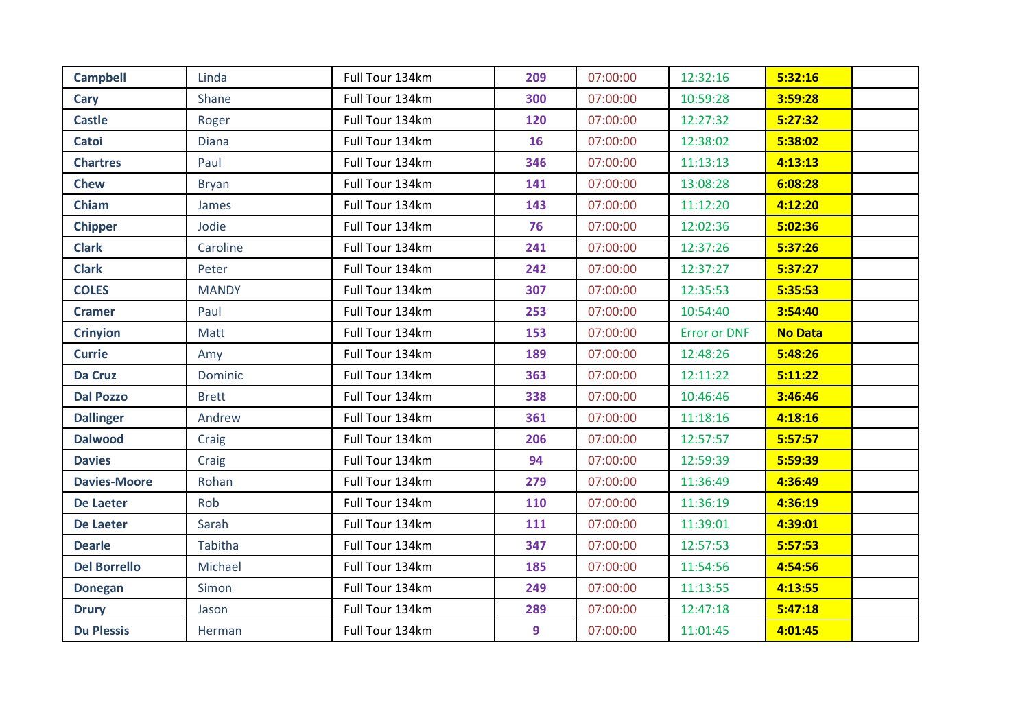| <b>Campbell</b>     | Linda          | Full Tour 134km | 209 | 07:00:00 | 12:32:16            | 5:32:16        |  |
|---------------------|----------------|-----------------|-----|----------|---------------------|----------------|--|
| Cary                | Shane          | Full Tour 134km | 300 | 07:00:00 | 10:59:28            | 3:59:28        |  |
| <b>Castle</b>       | Roger          | Full Tour 134km | 120 | 07:00:00 | 12:27:32            | 5:27:32        |  |
| Catoi               | <b>Diana</b>   | Full Tour 134km | 16  | 07:00:00 | 12:38:02            | 5:38:02        |  |
| <b>Chartres</b>     | Paul           | Full Tour 134km | 346 | 07:00:00 | 11:13:13            | 4:13:13        |  |
| <b>Chew</b>         | <b>Bryan</b>   | Full Tour 134km | 141 | 07:00:00 | 13:08:28            | 6:08:28        |  |
| Chiam               | James          | Full Tour 134km | 143 | 07:00:00 | 11:12:20            | 4:12:20        |  |
| <b>Chipper</b>      | Jodie          | Full Tour 134km | 76  | 07:00:00 | 12:02:36            | 5:02:36        |  |
| <b>Clark</b>        | Caroline       | Full Tour 134km | 241 | 07:00:00 | 12:37:26            | 5:37:26        |  |
| <b>Clark</b>        | Peter          | Full Tour 134km | 242 | 07:00:00 | 12:37:27            | 5:37:27        |  |
| <b>COLES</b>        | <b>MANDY</b>   | Full Tour 134km | 307 | 07:00:00 | 12:35:53            | 5:35:53        |  |
| <b>Cramer</b>       | Paul           | Full Tour 134km | 253 | 07:00:00 | 10:54:40            | 3:54:40        |  |
| <b>Crinyion</b>     | Matt           | Full Tour 134km | 153 | 07:00:00 | <b>Error or DNF</b> | <b>No Data</b> |  |
| <b>Currie</b>       | Amy            | Full Tour 134km | 189 | 07:00:00 | 12:48:26            | 5:48:26        |  |
| <b>Da Cruz</b>      | <b>Dominic</b> | Full Tour 134km | 363 | 07:00:00 | 12:11:22            | 5:11:22        |  |
| <b>Dal Pozzo</b>    | <b>Brett</b>   | Full Tour 134km | 338 | 07:00:00 | 10:46:46            | 3:46:46        |  |
| <b>Dallinger</b>    | Andrew         | Full Tour 134km | 361 | 07:00:00 | 11:18:16            | 4:18:16        |  |
| <b>Dalwood</b>      | Craig          | Full Tour 134km | 206 | 07:00:00 | 12:57:57            | 5:57:57        |  |
| <b>Davies</b>       | Craig          | Full Tour 134km | 94  | 07:00:00 | 12:59:39            | 5:59:39        |  |
| <b>Davies-Moore</b> | Rohan          | Full Tour 134km | 279 | 07:00:00 | 11:36:49            | 4:36:49        |  |
| <b>De Laeter</b>    | Rob            | Full Tour 134km | 110 | 07:00:00 | 11:36:19            | 4:36:19        |  |
| <b>De Laeter</b>    | Sarah          | Full Tour 134km | 111 | 07:00:00 | 11:39:01            | 4:39:01        |  |
| <b>Dearle</b>       | Tabitha        | Full Tour 134km | 347 | 07:00:00 | 12:57:53            | 5:57:53        |  |
| <b>Del Borrello</b> | Michael        | Full Tour 134km | 185 | 07:00:00 | 11:54:56            | 4:54:56        |  |
| <b>Donegan</b>      | Simon          | Full Tour 134km | 249 | 07:00:00 | 11:13:55            | 4:13:55        |  |
| <b>Drury</b>        | Jason          | Full Tour 134km | 289 | 07:00:00 | 12:47:18            | 5:47:18        |  |
| <b>Du Plessis</b>   | Herman         | Full Tour 134km | 9   | 07:00:00 | 11:01:45            | 4:01:45        |  |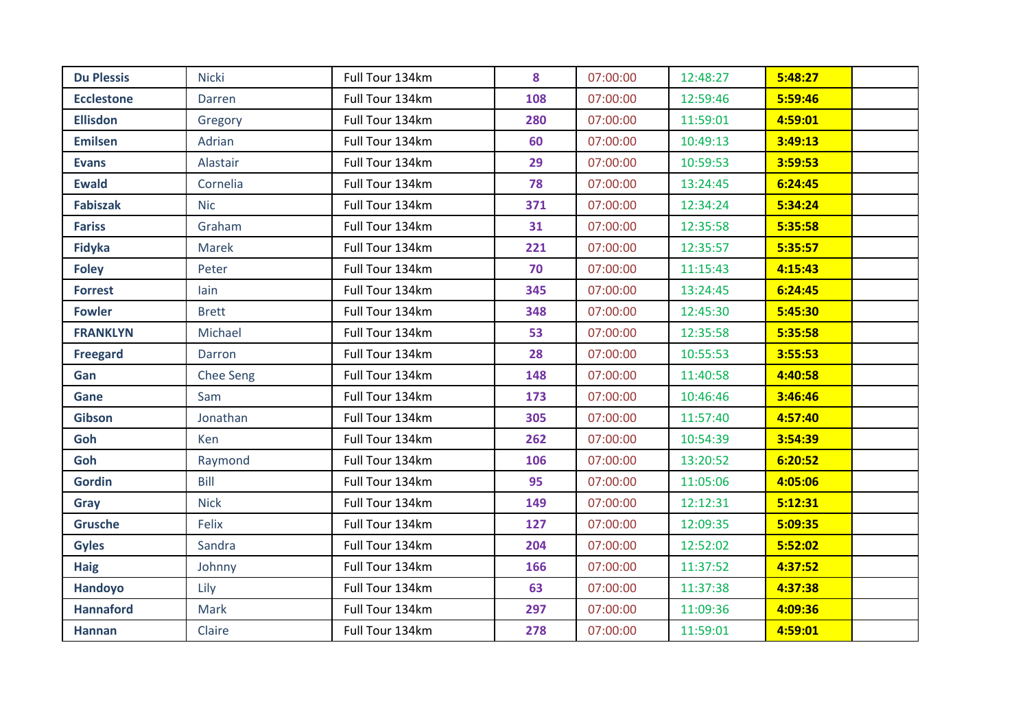| <b>Du Plessis</b> | <b>Nicki</b> | Full Tour 134km | 8   | 07:00:00 | 12:48:27 | 5:48:27 |  |
|-------------------|--------------|-----------------|-----|----------|----------|---------|--|
| <b>Ecclestone</b> | Darren       | Full Tour 134km | 108 | 07:00:00 | 12:59:46 | 5:59:46 |  |
| <b>Ellisdon</b>   | Gregory      | Full Tour 134km | 280 | 07:00:00 | 11:59:01 | 4:59:01 |  |
| <b>Emilsen</b>    | Adrian       | Full Tour 134km | 60  | 07:00:00 | 10:49:13 | 3:49:13 |  |
| <b>Evans</b>      | Alastair     | Full Tour 134km | 29  | 07:00:00 | 10:59:53 | 3:59:53 |  |
| <b>Ewald</b>      | Cornelia     | Full Tour 134km | 78  | 07:00:00 | 13:24:45 | 6:24:45 |  |
| <b>Fabiszak</b>   | <b>Nic</b>   | Full Tour 134km | 371 | 07:00:00 | 12:34:24 | 5:34:24 |  |
| <b>Fariss</b>     | Graham       | Full Tour 134km | 31  | 07:00:00 | 12:35:58 | 5:35:58 |  |
| <b>Fidyka</b>     | Marek        | Full Tour 134km | 221 | 07:00:00 | 12:35:57 | 5:35:57 |  |
| <b>Foley</b>      | Peter        | Full Tour 134km | 70  | 07:00:00 | 11:15:43 | 4:15:43 |  |
| <b>Forrest</b>    | lain         | Full Tour 134km | 345 | 07:00:00 | 13:24:45 | 6:24:45 |  |
| <b>Fowler</b>     | <b>Brett</b> | Full Tour 134km | 348 | 07:00:00 | 12:45:30 | 5:45:30 |  |
| <b>FRANKLYN</b>   | Michael      | Full Tour 134km | 53  | 07:00:00 | 12:35:58 | 5:35:58 |  |
| <b>Freegard</b>   | Darron       | Full Tour 134km | 28  | 07:00:00 | 10:55:53 | 3:55:53 |  |
| Gan               | Chee Seng    | Full Tour 134km | 148 | 07:00:00 | 11:40:58 | 4:40:58 |  |
| Gane              | Sam          | Full Tour 134km | 173 | 07:00:00 | 10:46:46 | 3:46:46 |  |
| <b>Gibson</b>     | Jonathan     | Full Tour 134km | 305 | 07:00:00 | 11:57:40 | 4:57:40 |  |
| Goh               | Ken          | Full Tour 134km | 262 | 07:00:00 | 10:54:39 | 3:54:39 |  |
| Goh               | Raymond      | Full Tour 134km | 106 | 07:00:00 | 13:20:52 | 6:20:52 |  |
| <b>Gordin</b>     | Bill         | Full Tour 134km | 95  | 07:00:00 | 11:05:06 | 4:05:06 |  |
| Gray              | <b>Nick</b>  | Full Tour 134km | 149 | 07:00:00 | 12:12:31 | 5:12:31 |  |
| <b>Grusche</b>    | Felix        | Full Tour 134km | 127 | 07:00:00 | 12:09:35 | 5:09:35 |  |
| <b>Gyles</b>      | Sandra       | Full Tour 134km | 204 | 07:00:00 | 12:52:02 | 5:52:02 |  |
| <b>Haig</b>       | Johnny       | Full Tour 134km | 166 | 07:00:00 | 11:37:52 | 4:37:52 |  |
| Handoyo           | Lily         | Full Tour 134km | 63  | 07:00:00 | 11:37:38 | 4:37:38 |  |
| <b>Hannaford</b>  | Mark         | Full Tour 134km | 297 | 07:00:00 | 11:09:36 | 4:09:36 |  |
| <b>Hannan</b>     | Claire       | Full Tour 134km | 278 | 07:00:00 | 11:59:01 | 4:59:01 |  |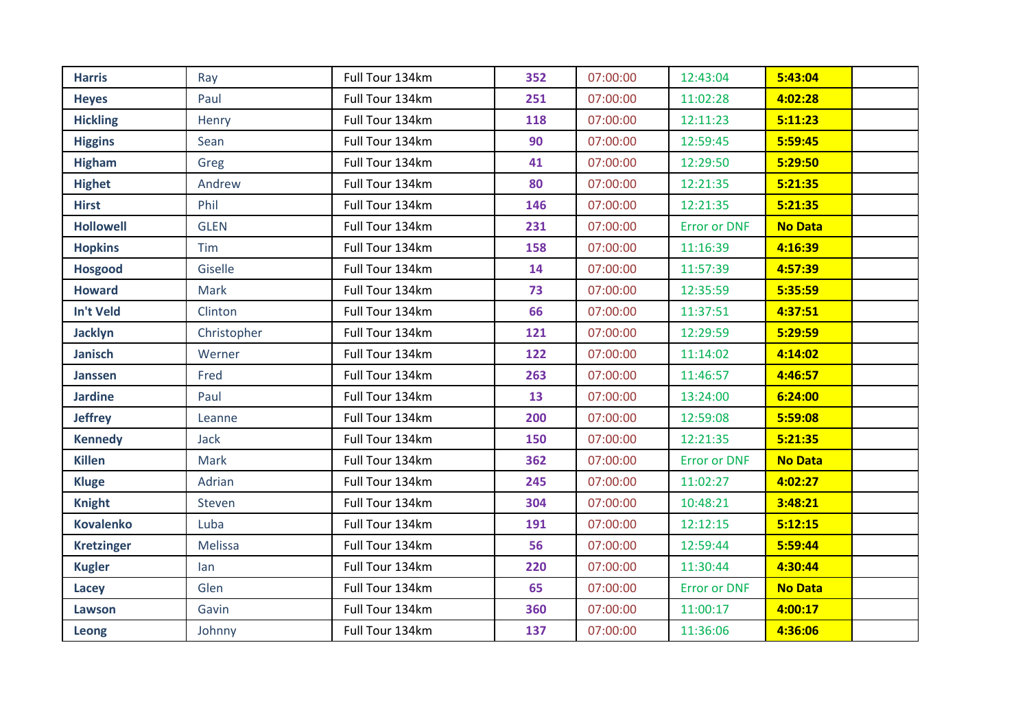| <b>Harris</b>     | Ray         | Full Tour 134km | 352 | 07:00:00 | 12:43:04            | 5:43:04        |
|-------------------|-------------|-----------------|-----|----------|---------------------|----------------|
| <b>Heyes</b>      | Paul        | Full Tour 134km | 251 | 07:00:00 | 11:02:28            | 4:02:28        |
| <b>Hickling</b>   | Henry       | Full Tour 134km | 118 | 07:00:00 | 12:11:23            | 5:11:23        |
| <b>Higgins</b>    | Sean        | Full Tour 134km | 90  | 07:00:00 | 12:59:45            | 5:59:45        |
| <b>Higham</b>     | Greg        | Full Tour 134km | 41  | 07:00:00 | 12:29:50            | 5:29:50        |
| <b>Highet</b>     | Andrew      | Full Tour 134km | 80  | 07:00:00 | 12:21:35            | 5:21:35        |
| <b>Hirst</b>      | Phil        | Full Tour 134km | 146 | 07:00:00 | 12:21:35            | 5:21:35        |
| <b>Hollowell</b>  | <b>GLEN</b> | Full Tour 134km | 231 | 07:00:00 | <b>Error or DNF</b> | <b>No Data</b> |
| <b>Hopkins</b>    | <b>Tim</b>  | Full Tour 134km | 158 | 07:00:00 | 11:16:39            | 4:16:39        |
| <b>Hosgood</b>    | Giselle     | Full Tour 134km | 14  | 07:00:00 | 11:57:39            | 4:57:39        |
| <b>Howard</b>     | Mark        | Full Tour 134km | 73  | 07:00:00 | 12:35:59            | 5:35:59        |
| In't Veld         | Clinton     | Full Tour 134km | 66  | 07:00:00 | 11:37:51            | 4:37:51        |
| <b>Jacklyn</b>    | Christopher | Full Tour 134km | 121 | 07:00:00 | 12:29:59            | 5:29:59        |
| <b>Janisch</b>    | Werner      | Full Tour 134km | 122 | 07:00:00 | 11:14:02            | 4:14:02        |
| <b>Janssen</b>    | Fred        | Full Tour 134km | 263 | 07:00:00 | 11:46:57            | 4:46:57        |
| <b>Jardine</b>    | Paul        | Full Tour 134km | 13  | 07:00:00 | 13:24:00            | 6:24:00        |
| <b>Jeffrey</b>    | Leanne      | Full Tour 134km | 200 | 07:00:00 | 12:59:08            | 5:59:08        |
| <b>Kennedy</b>    | Jack        | Full Tour 134km | 150 | 07:00:00 | 12:21:35            | 5:21:35        |
| <b>Killen</b>     | Mark        | Full Tour 134km | 362 | 07:00:00 | <b>Error or DNF</b> | <b>No Data</b> |
| <b>Kluge</b>      | Adrian      | Full Tour 134km | 245 | 07:00:00 | 11:02:27            | 4:02:27        |
| <b>Knight</b>     | Steven      | Full Tour 134km | 304 | 07:00:00 | 10:48:21            | 3:48:21        |
| <b>Kovalenko</b>  | Luba        | Full Tour 134km | 191 | 07:00:00 | 12:12:15            | 5:12:15        |
| <b>Kretzinger</b> | Melissa     | Full Tour 134km | 56  | 07:00:00 | 12:59:44            | 5:59:44        |
| <b>Kugler</b>     | lan         | Full Tour 134km | 220 | 07:00:00 | 11:30:44            | 4:30:44        |
| Lacey             | Glen        | Full Tour 134km | 65  | 07:00:00 | <b>Error or DNF</b> | <b>No Data</b> |
| Lawson            | Gavin       | Full Tour 134km | 360 | 07:00:00 | 11:00:17            | 4:00:17        |
| Leong             | Johnny      | Full Tour 134km | 137 | 07:00:00 | 11:36:06            | 4:36:06        |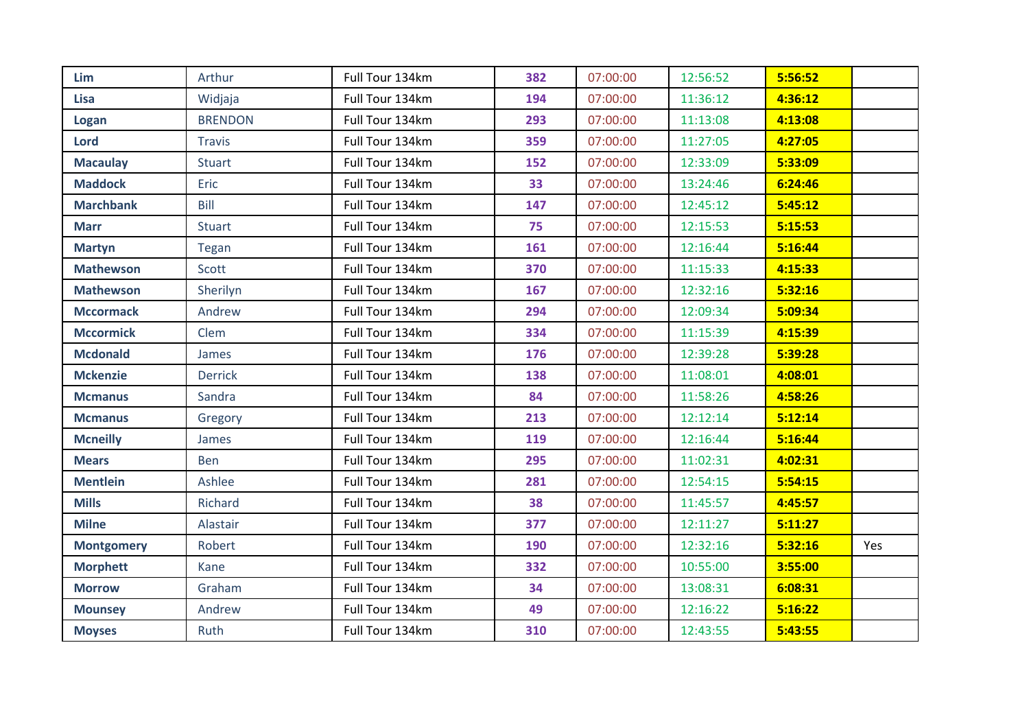| Lim               | Arthur         | Full Tour 134km | 382 | 07:00:00 | 12:56:52 | 5:56:52 |     |
|-------------------|----------------|-----------------|-----|----------|----------|---------|-----|
| <b>Lisa</b>       | Widjaja        | Full Tour 134km | 194 | 07:00:00 | 11:36:12 | 4:36:12 |     |
| Logan             | <b>BRENDON</b> | Full Tour 134km | 293 | 07:00:00 | 11:13:08 | 4:13:08 |     |
| <b>Lord</b>       | <b>Travis</b>  | Full Tour 134km | 359 | 07:00:00 | 11:27:05 | 4:27:05 |     |
| <b>Macaulay</b>   | <b>Stuart</b>  | Full Tour 134km | 152 | 07:00:00 | 12:33:09 | 5:33:09 |     |
| <b>Maddock</b>    | Eric           | Full Tour 134km | 33  | 07:00:00 | 13:24:46 | 6:24:46 |     |
| <b>Marchbank</b>  | Bill           | Full Tour 134km | 147 | 07:00:00 | 12:45:12 | 5:45:12 |     |
| <b>Marr</b>       | <b>Stuart</b>  | Full Tour 134km | 75  | 07:00:00 | 12:15:53 | 5:15:53 |     |
| <b>Martyn</b>     | Tegan          | Full Tour 134km | 161 | 07:00:00 | 12:16:44 | 5:16:44 |     |
| <b>Mathewson</b>  | Scott          | Full Tour 134km | 370 | 07:00:00 | 11:15:33 | 4:15:33 |     |
| <b>Mathewson</b>  | Sherilyn       | Full Tour 134km | 167 | 07:00:00 | 12:32:16 | 5:32:16 |     |
| <b>Mccormack</b>  | Andrew         | Full Tour 134km | 294 | 07:00:00 | 12:09:34 | 5:09:34 |     |
| <b>Mccormick</b>  | Clem           | Full Tour 134km | 334 | 07:00:00 | 11:15:39 | 4:15:39 |     |
| <b>Mcdonald</b>   | James          | Full Tour 134km | 176 | 07:00:00 | 12:39:28 | 5:39:28 |     |
| <b>Mckenzie</b>   | <b>Derrick</b> | Full Tour 134km | 138 | 07:00:00 | 11:08:01 | 4:08:01 |     |
| <b>Mcmanus</b>    | Sandra         | Full Tour 134km | 84  | 07:00:00 | 11:58:26 | 4:58:26 |     |
| <b>Mcmanus</b>    | Gregory        | Full Tour 134km | 213 | 07:00:00 | 12:12:14 | 5:12:14 |     |
| <b>Mcneilly</b>   | James          | Full Tour 134km | 119 | 07:00:00 | 12:16:44 | 5:16:44 |     |
| <b>Mears</b>      | Ben            | Full Tour 134km | 295 | 07:00:00 | 11:02:31 | 4:02:31 |     |
| <b>Mentlein</b>   | Ashlee         | Full Tour 134km | 281 | 07:00:00 | 12:54:15 | 5:54:15 |     |
| <b>Mills</b>      | Richard        | Full Tour 134km | 38  | 07:00:00 | 11:45:57 | 4:45:57 |     |
| <b>Milne</b>      | Alastair       | Full Tour 134km | 377 | 07:00:00 | 12:11:27 | 5:11:27 |     |
| <b>Montgomery</b> | Robert         | Full Tour 134km | 190 | 07:00:00 | 12:32:16 | 5:32:16 | Yes |
| <b>Morphett</b>   | Kane           | Full Tour 134km | 332 | 07:00:00 | 10:55:00 | 3:55:00 |     |
| <b>Morrow</b>     | Graham         | Full Tour 134km | 34  | 07:00:00 | 13:08:31 | 6:08:31 |     |
| <b>Mounsey</b>    | Andrew         | Full Tour 134km | 49  | 07:00:00 | 12:16:22 | 5:16:22 |     |
| <b>Moyses</b>     | Ruth           | Full Tour 134km | 310 | 07:00:00 | 12:43:55 | 5:43:55 |     |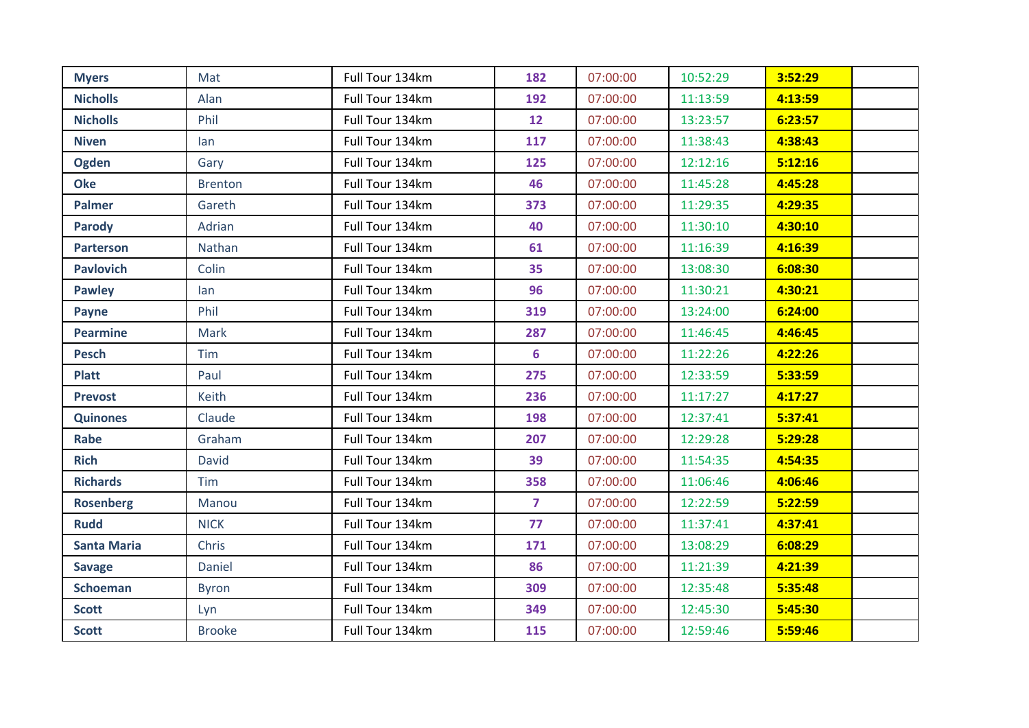| <b>Myers</b>       | Mat            | Full Tour 134km | 182            | 07:00:00 | 10:52:29 | 3:52:29 |
|--------------------|----------------|-----------------|----------------|----------|----------|---------|
| <b>Nicholls</b>    | Alan           | Full Tour 134km | 192            | 07:00:00 | 11:13:59 | 4:13:59 |
| <b>Nicholls</b>    | Phil           | Full Tour 134km | 12             | 07:00:00 | 13:23:57 | 6:23:57 |
| <b>Niven</b>       | lan            | Full Tour 134km | 117            | 07:00:00 | 11:38:43 | 4:38:43 |
| <b>Ogden</b>       | Gary           | Full Tour 134km | 125            | 07:00:00 | 12:12:16 | 5:12:16 |
| <b>Oke</b>         | <b>Brenton</b> | Full Tour 134km | 46             | 07:00:00 | 11:45:28 | 4:45:28 |
| <b>Palmer</b>      | Gareth         | Full Tour 134km | 373            | 07:00:00 | 11:29:35 | 4:29:35 |
| <b>Parody</b>      | Adrian         | Full Tour 134km | 40             | 07:00:00 | 11:30:10 | 4:30:10 |
| <b>Parterson</b>   | Nathan         | Full Tour 134km | 61             | 07:00:00 | 11:16:39 | 4:16:39 |
| <b>Pavlovich</b>   | Colin          | Full Tour 134km | 35             | 07:00:00 | 13:08:30 | 6:08:30 |
| <b>Pawley</b>      | lan            | Full Tour 134km | 96             | 07:00:00 | 11:30:21 | 4:30:21 |
| Payne              | Phil           | Full Tour 134km | 319            | 07:00:00 | 13:24:00 | 6:24:00 |
| <b>Pearmine</b>    | Mark           | Full Tour 134km | 287            | 07:00:00 | 11:46:45 | 4:46:45 |
| <b>Pesch</b>       | Tim            | Full Tour 134km | 6              | 07:00:00 | 11:22:26 | 4:22:26 |
| <b>Platt</b>       | Paul           | Full Tour 134km | 275            | 07:00:00 | 12:33:59 | 5:33:59 |
| <b>Prevost</b>     | Keith          | Full Tour 134km | 236            | 07:00:00 | 11:17:27 | 4:17:27 |
| <b>Quinones</b>    | Claude         | Full Tour 134km | 198            | 07:00:00 | 12:37:41 | 5:37:41 |
| Rabe               | Graham         | Full Tour 134km | 207            | 07:00:00 | 12:29:28 | 5:29:28 |
| <b>Rich</b>        | David          | Full Tour 134km | 39             | 07:00:00 | 11:54:35 | 4:54:35 |
| <b>Richards</b>    | Tim            | Full Tour 134km | 358            | 07:00:00 | 11:06:46 | 4:06:46 |
| <b>Rosenberg</b>   | Manou          | Full Tour 134km | $\overline{7}$ | 07:00:00 | 12:22:59 | 5:22:59 |
| <b>Rudd</b>        | <b>NICK</b>    | Full Tour 134km | 77             | 07:00:00 | 11:37:41 | 4:37:41 |
| <b>Santa Maria</b> | Chris          | Full Tour 134km | 171            | 07:00:00 | 13:08:29 | 6:08:29 |
| <b>Savage</b>      | Daniel         | Full Tour 134km | 86             | 07:00:00 | 11:21:39 | 4:21:39 |
| <b>Schoeman</b>    | <b>Byron</b>   | Full Tour 134km | 309            | 07:00:00 | 12:35:48 | 5:35:48 |
| <b>Scott</b>       | Lyn            | Full Tour 134km | 349            | 07:00:00 | 12:45:30 | 5:45:30 |
| <b>Scott</b>       | <b>Brooke</b>  | Full Tour 134km | 115            | 07:00:00 | 12:59:46 | 5:59:46 |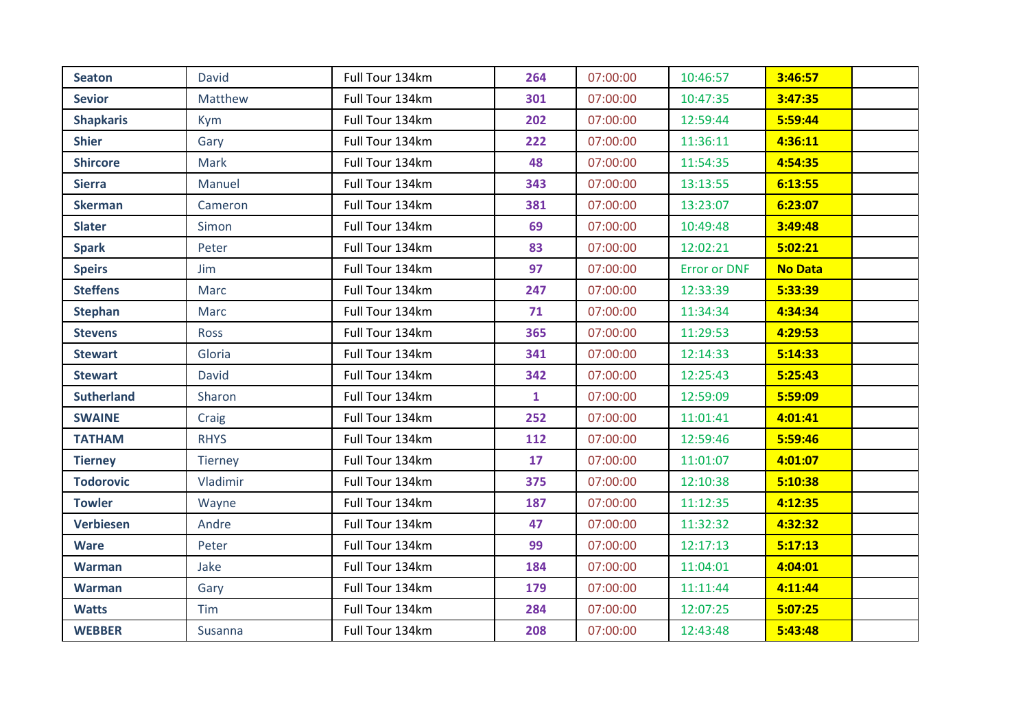| <b>Seaton</b>     | <b>David</b>   | Full Tour 134km | 264          | 07:00:00 | 10:46:57            | 3:46:57        |  |
|-------------------|----------------|-----------------|--------------|----------|---------------------|----------------|--|
| <b>Sevior</b>     | Matthew        | Full Tour 134km | 301          | 07:00:00 | 10:47:35            | 3:47:35        |  |
| <b>Shapkaris</b>  | <b>Kym</b>     | Full Tour 134km | 202          | 07:00:00 | 12:59:44            | 5:59:44        |  |
| <b>Shier</b>      | Gary           | Full Tour 134km | 222          | 07:00:00 | 11:36:11            | 4:36:11        |  |
| <b>Shircore</b>   | Mark           | Full Tour 134km | 48           | 07:00:00 | 11:54:35            | 4:54:35        |  |
| <b>Sierra</b>     | Manuel         | Full Tour 134km | 343          | 07:00:00 | 13:13:55            | 6:13:55        |  |
| <b>Skerman</b>    | Cameron        | Full Tour 134km | 381          | 07:00:00 | 13:23:07            | 6:23:07        |  |
| <b>Slater</b>     | Simon          | Full Tour 134km | 69           | 07:00:00 | 10:49:48            | 3:49:48        |  |
| <b>Spark</b>      | Peter          | Full Tour 134km | 83           | 07:00:00 | 12:02:21            | 5:02:21        |  |
| <b>Speirs</b>     | Jim            | Full Tour 134km | 97           | 07:00:00 | <b>Error or DNF</b> | <b>No Data</b> |  |
| <b>Steffens</b>   | Marc           | Full Tour 134km | 247          | 07:00:00 | 12:33:39            | 5:33:39        |  |
| <b>Stephan</b>    | Marc           | Full Tour 134km | 71           | 07:00:00 | 11:34:34            | 4:34:34        |  |
| <b>Stevens</b>    | Ross           | Full Tour 134km | 365          | 07:00:00 | 11:29:53            | 4:29:53        |  |
| <b>Stewart</b>    | Gloria         | Full Tour 134km | 341          | 07:00:00 | 12:14:33            | 5:14:33        |  |
| <b>Stewart</b>    | David          | Full Tour 134km | 342          | 07:00:00 | 12:25:43            | 5:25:43        |  |
| <b>Sutherland</b> | Sharon         | Full Tour 134km | $\mathbf{1}$ | 07:00:00 | 12:59:09            | 5:59:09        |  |
| <b>SWAINE</b>     | Craig          | Full Tour 134km | 252          | 07:00:00 | 11:01:41            | 4:01:41        |  |
| <b>TATHAM</b>     | <b>RHYS</b>    | Full Tour 134km | 112          | 07:00:00 | 12:59:46            | 5:59:46        |  |
| <b>Tierney</b>    | <b>Tierney</b> | Full Tour 134km | 17           | 07:00:00 | 11:01:07            | 4:01:07        |  |
| <b>Todorovic</b>  | Vladimir       | Full Tour 134km | 375          | 07:00:00 | 12:10:38            | 5:10:38        |  |
| <b>Towler</b>     | Wayne          | Full Tour 134km | 187          | 07:00:00 | 11:12:35            | 4:12:35        |  |
| <b>Verbiesen</b>  | Andre          | Full Tour 134km | 47           | 07:00:00 | 11:32:32            | 4:32:32        |  |
| <b>Ware</b>       | Peter          | Full Tour 134km | 99           | 07:00:00 | 12:17:13            | 5:17:13        |  |
| <b>Warman</b>     | Jake           | Full Tour 134km | 184          | 07:00:00 | 11:04:01            | 4:04:01        |  |
| <b>Warman</b>     | Gary           | Full Tour 134km | 179          | 07:00:00 | 11:11:44            | 4:11:44        |  |
| <b>Watts</b>      | Tim            | Full Tour 134km | 284          | 07:00:00 | 12:07:25            | 5:07:25        |  |
| <b>WEBBER</b>     | Susanna        | Full Tour 134km | 208          | 07:00:00 | 12:43:48            | 5:43:48        |  |